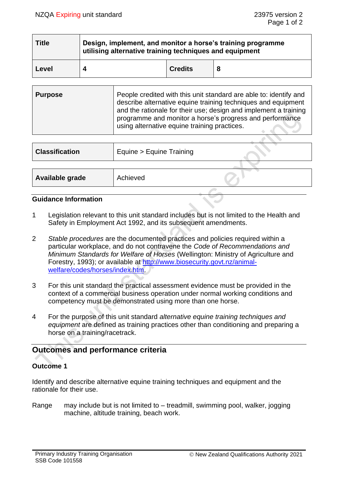| <b>Title</b> | Design, implement, and monitor a horse's training programme<br>utilising alternative training techniques and equipment |                |   |  |
|--------------|------------------------------------------------------------------------------------------------------------------------|----------------|---|--|
| Level        |                                                                                                                        | <b>Credits</b> | 8 |  |

| <b>Purpose</b> | People credited with this unit standard are able to: identify and<br>describe alternative equine training techniques and equipment<br>and the rationale for their use; design and implement a training<br>programme and monitor a horse's progress and performance<br>using alternative equine training practices. |
|----------------|--------------------------------------------------------------------------------------------------------------------------------------------------------------------------------------------------------------------------------------------------------------------------------------------------------------------|
|                |                                                                                                                                                                                                                                                                                                                    |

| <b>Classification</b> | Equine > Equine Training |  |
|-----------------------|--------------------------|--|
|                       |                          |  |
| Available grade       | Achieved                 |  |
|                       |                          |  |

### **Guidance Information**

- 1 Legislation relevant to this unit standard includes but is not limited to the Health and Safety in Employment Act 1992, and its subsequent amendments.
- 2 *Stable procedures* are the documented practices and policies required within a particular workplace, and do not contravene the *Code of Recommendations and Minimum Standards for Welfare of Horses* (Wellington: Ministry of Agriculture and Forestry, 1993); or available at [http://www.biosecurity.govt.nz/animal](http://www.biosecurity.govt.nz/animal-welfare/codes/horses/index.htm)[welfare/codes/horses/index.htm.](http://www.biosecurity.govt.nz/animal-welfare/codes/horses/index.htm)
- 3 For this unit standard the practical assessment evidence must be provided in the context of a commercial business operation under normal working conditions and competency must be demonstrated using more than one horse.
- 4 For the purpose of this unit standard *alternative equine training techniques and equipment* are defined as training practices other than conditioning and preparing a horse on a training/racetrack.

# **Outcomes and performance criteria**

## **Outcome 1**

Identify and describe alternative equine training techniques and equipment and the rationale for their use.

Range may include but is not limited to – treadmill, swimming pool, walker, jogging machine, altitude training, beach work.